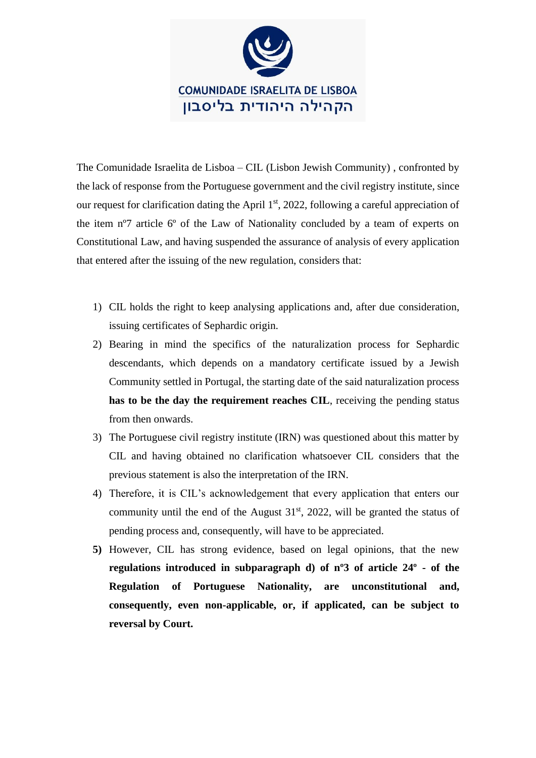

The Comunidade Israelita de Lisboa – CIL (Lisbon Jewish Community) , confronted by the lack of response from the Portuguese government and the civil registry institute, since our request for clarification dating the April 1<sup>st</sup>, 2022, following a careful appreciation of the item nº7 article 6º of the Law of Nationality concluded by a team of experts on Constitutional Law, and having suspended the assurance of analysis of every application that entered after the issuing of the new regulation, considers that:

- 1) CIL holds the right to keep analysing applications and, after due consideration, issuing certificates of Sephardic origin.
- 2) Bearing in mind the specifics of the naturalization process for Sephardic descendants, which depends on a mandatory certificate issued by a Jewish Community settled in Portugal, the starting date of the said naturalization process **has to be the day the requirement reaches CIL**, receiving the pending status from then onwards.
- 3) The Portuguese civil registry institute (IRN) was questioned about this matter by CIL and having obtained no clarification whatsoever CIL considers that the previous statement is also the interpretation of the IRN.
- 4) Therefore, it is CIL's acknowledgement that every application that enters our community until the end of the August  $31<sup>st</sup>$ , 2022, will be granted the status of pending process and, consequently, will have to be appreciated.
- **5)** However, CIL has strong evidence, based on legal opinions, that the new **regulations introduced in subparagraph d) of nº3 of article 24º - of the Regulation of Portuguese Nationality, are unconstitutional and, consequently, even non-applicable, or, if applicated, can be subject to reversal by Court.**